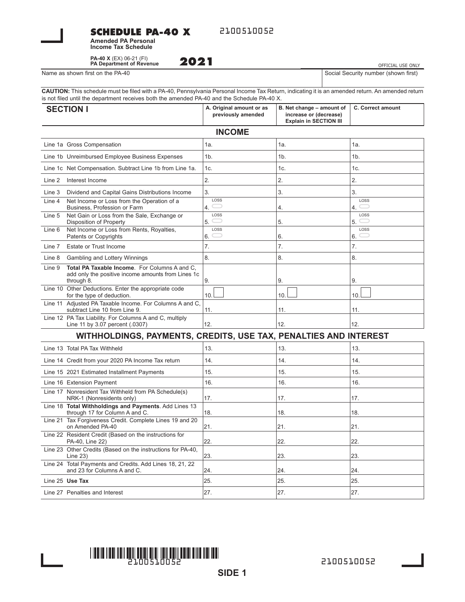### **SCHEDULE PA-40 X**

2100510052

**Amended PA Personal Income Tax Schedule**

**PA-40 X** (EX) 06-21 (FI) **PA Department of Revenue**

Name as shown first on the PA-40  $\vert$  S

| 2021 | OFFICIAL USE ONLY                    |  |  |
|------|--------------------------------------|--|--|
|      | Social Security number (shown first) |  |  |

**CAUTION:** This schedule must be filed with a PA-40, Pennsylvania Personal Income Tax Return, indicating it is an amended return. An amended return is not filed until the department receives both the amended PA-40 and the Schedule PA-40 X.

| <b>SECTION I</b>                                                                                                            | A. Original amount or as<br>previously amended | B. Net change - amount of<br>increase or (decrease)<br><b>Explain in SECTION III</b> | <b>C. Correct amount</b> |  |  |
|-----------------------------------------------------------------------------------------------------------------------------|------------------------------------------------|--------------------------------------------------------------------------------------|--------------------------|--|--|
| <b>INCOME</b>                                                                                                               |                                                |                                                                                      |                          |  |  |
| Line 1a Gross Compensation                                                                                                  | 1a.                                            | 1a.                                                                                  | 1a.                      |  |  |
| Line 1b Unreimbursed Employee Business Expenses                                                                             | 1 <sub>b</sub>                                 | 1 <sub>b</sub>                                                                       | 1 <sub>b</sub>           |  |  |
| Line 1c Net Compensation. Subtract Line 1b from Line 1a.                                                                    | 1c.                                            | 1c.                                                                                  | 1c.                      |  |  |
| Line 2<br>Interest Income                                                                                                   | 2.                                             | 2.                                                                                   | 2.                       |  |  |
| Line 3<br>Dividend and Capital Gains Distributions Income                                                                   | 3.                                             | 3.                                                                                   | 3.                       |  |  |
| Line 4<br>Net Income or Loss from the Operation of a<br>Business, Profession or Farm                                        | LOSS<br>$\equiv$<br>4.                         | 4.                                                                                   | LOSS<br>4.               |  |  |
| Line 5<br>Net Gain or Loss from the Sale, Exchange or<br>Disposition of Property                                            | LOSS<br>$\subset$<br>5.                        | 5.                                                                                   | LOSS<br>5.               |  |  |
| Net Income or Loss from Rents, Royalties,<br>Line 6<br>Patents or Copyrights                                                | LOSS<br>6.                                     | 6.                                                                                   | LOSS<br>6.               |  |  |
| Estate or Trust Income<br>Line 7                                                                                            | 7.                                             | 7.                                                                                   | 7.                       |  |  |
| Line 8<br>Gambling and Lottery Winnings                                                                                     | 8.                                             | 8.                                                                                   | 8.                       |  |  |
| Total PA Taxable Income. For Columns A and C,<br>Line 9<br>add only the positive income amounts from Lines 1c<br>through 8. | 9.                                             | 9.                                                                                   | 9.                       |  |  |
| Line 10 Other Deductions. Enter the appropriate code<br>for the type of deduction.                                          | 10.                                            | 10.                                                                                  | 10.                      |  |  |
| Line 11 Adjusted PA Taxable Income. For Columns A and C,<br>subtract Line 10 from Line 9.                                   | 11.                                            | 11.                                                                                  | 11.                      |  |  |
| Line 12 PA Tax Liability. For Columns A and C, multiply<br>Line 11 by 3.07 percent (.0307)                                  | 12.                                            | 12.                                                                                  | 12.                      |  |  |
| WITHHOLDINGS, PAYMENTS, CREDITS, USE TAX, PENALTIES AND INTEREST                                                            |                                                |                                                                                      |                          |  |  |
| Line 13 Total PA Tax Withheld                                                                                               | 13.                                            | 13.                                                                                  | 13.                      |  |  |
| Line 14 Credit from your 2020 PA Income Tax return                                                                          | 14.                                            | 14.                                                                                  | 14.                      |  |  |
| Line 15 2021 Estimated Installment Payments                                                                                 | 15.                                            | 15.                                                                                  | 15.                      |  |  |
| Line 16 Extension Payment                                                                                                   | 16.                                            | 16.                                                                                  | 16.                      |  |  |
| Line 17 Nonresident Tax Withheld from PA Schedule(s)<br>NRK-1 (Nonresidents only)                                           | 17.                                            | 17.                                                                                  | 17.                      |  |  |
| Line 18 Total Withholdings and Payments. Add Lines 13<br>through 17 for Column A and C.                                     | 18.                                            | 18.                                                                                  | 18.                      |  |  |
| Line 21 Tax Forgiveness Credit. Complete Lines 19 and 20<br>on Amended PA-40                                                | 21.                                            | 21.                                                                                  | 21.                      |  |  |
| Line 22 Resident Credit (Based on the instructions for<br>PA-40, Line 22)                                                   | 22.                                            | 22.                                                                                  | 22.                      |  |  |
| Line 23 Other Credits (Based on the instructions for PA-40,<br>Line $23$ )                                                  | 23.                                            | 23.                                                                                  | 23.                      |  |  |
| Line 24 Total Payments and Credits. Add Lines 18, 21, 22<br>and 23 for Columns A and C.                                     | 24.                                            | 24.                                                                                  | 24.                      |  |  |
| Line 25 Use Tax                                                                                                             | 25.                                            | 25.                                                                                  | 25.                      |  |  |
| Line 27 Penalties and Interest                                                                                              | 27.                                            | 27.                                                                                  | 27.                      |  |  |

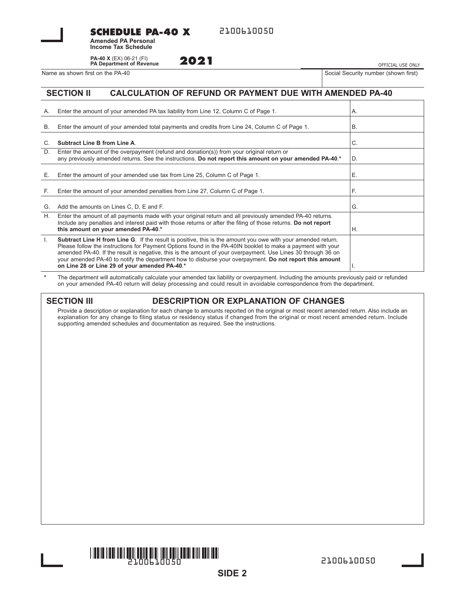**SCHEDULE PA-40 X**

**Amended PA Personal Income Tax Schedule**

**PA-40 X** (EX) 06-21 (FI) **PA Department of Revenue**

Name as shown first on the PA-40 Social Security number (shown first)

**2021** OFFICIAL USE ONLY

#### **SECTION II CALCULATION OF REFUND OR PAYMENT DUE WITH AMENDED PA-40**

| А.           | Enter the amount of your amended PA tax liability from Line 12, Column C of Page 1.                                                                                                                                                                                                                                                                                                                                                                                                                            | А. |
|--------------|----------------------------------------------------------------------------------------------------------------------------------------------------------------------------------------------------------------------------------------------------------------------------------------------------------------------------------------------------------------------------------------------------------------------------------------------------------------------------------------------------------------|----|
| <b>B.</b>    | Enter the amount of your amended total payments and credits from Line 24, Column C of Page 1.                                                                                                                                                                                                                                                                                                                                                                                                                  | B. |
|              | Subtract Line B from Line A.                                                                                                                                                                                                                                                                                                                                                                                                                                                                                   | C. |
| D.           | Enter the amount of the overpayment (refund and donation(s)) from your original return or<br>any previously amended returns. See the instructions. Do not report this amount on your amended PA-40.*                                                                                                                                                                                                                                                                                                           | D. |
| Е.           | Enter the amount of your amended use tax from Line 25, Column C of Page 1.                                                                                                                                                                                                                                                                                                                                                                                                                                     | Е. |
| F.           | Enter the amount of your amended penalties from Line 27, Column C of Page 1.                                                                                                                                                                                                                                                                                                                                                                                                                                   | F. |
| G.           | Add the amounts on Lines C, D, E and F.                                                                                                                                                                                                                                                                                                                                                                                                                                                                        | G. |
| Η.           | Enter the amount of all payments made with your original return and all previously amended PA-40 returns.<br>Include any penalties and interest paid with those returns or after the filing of those returns. Do not report<br>this amount on your amended PA-40.*                                                                                                                                                                                                                                             | Η. |
| $\mathbf{L}$ | <b>Subtract Line H from Line G.</b> If the result is positive, this is the amount you owe with your amended return.<br>Please follow the instructions for Payment Options found in the PA-40IN booklet to make a payment with your<br>amended PA-40. If the result is negative, this is the amount of your overpayment. Use Lines 30 through 36 on<br>your amended PA-40 to notify the department how to disburse your overpayment. Do not report this amount<br>on Line 28 or Line 29 of your amended PA-40.* |    |

**\*** The department will automatically calculate your amended tax liability or overpayment. Including the amounts previously paid or refunded on your amended PA-40 return will delay processing and could result in avoidable correspondence from the department.

### **SECTION III DESCRIPTION OR EXPLANATION OF CHANGES**

Provide a description or explanation for each change to amounts reported on the original or most recent amended return. Also include an explanation for any change to filing status or residency status if changed from the original or most recent amended return. Include supporting amended schedules and documentation as required. See the instructions.

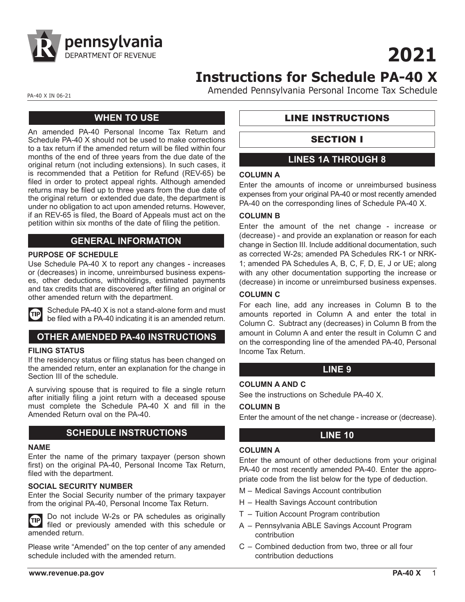

**2021**

# **Instructions for Schedule PA-40 X**

PA-40 X IN 06-21

Amended Pennsylvania Personal Income Tax Schedule

## **WHEN TO USE**

An amended PA-40 Personal Income Tax Return and Schedule PA-40 X should not be used to make corrections to a tax return if the amended return will be filed within four months of the end of three years from the due date of the original return (not including extensions). In such cases, it is recommended that a Petition for Refund (REV-65) be filed in order to protect appeal rights. Although amended returns may be filed up to three years from the due date of the original return or extended due date, the department is under no obligation to act upon amended returns. However, if an REV-65 is filed, the Board of Appeals must act on the petition within six months of the date of filing the petition.

## **GENERAL INFORMATION**

#### **PURPOSE OF SCHEDULE**

Use Schedule PA-40 X to report any changes - increases or (decreases) in income, unreimbursed business expenses, other deductions, withholdings, estimated payments and tax credits that are discovered after filing an original or other amended return with the department.



Schedule PA-40 X is not a stand-alone form and must be filed with a PA-40 indicating it is an amended return.

## **OTHER AMENDED PA-40 INSTRUCTIONS**

#### **FILING STATUS**

If the residency status or filing status has been changed on the amended return, enter an explanation for the change in Section III of the schedule.

A surviving spouse that is required to file a single return after initially filing a joint return with a deceased spouse must complete the Schedule PA-40 X and fill in the Amended Return oval on the PA-40.

### **SCHEDULE INSTRUCTIONS**

#### **NAME**

Enter the name of the primary taxpayer (person shown first) on the original PA-40, Personal Income Tax Return, filed with the department.

#### **SOCIAL SECURITY NUMBER**

Enter the Social Security number of the primary taxpayer from the original PA-40, Personal Income Tax Return.

Do not include W-2s or PA schedules as originally **TIP** filed or previously amended with this schedule or amended return.

Please write "Amended" on the top center of any amended schedule included with the amended return.

## LINE INSTRUCTIONS

## SECTION I

## **LINES 1A THROUGH 8**

#### **COLUMN A**

Enter the amounts of income or unreimbursed business expenses from your original PA-40 or most recently amended PA-40 on the corresponding lines of Schedule PA-40 X.

#### **COLUMN B**

Enter the amount of the net change - increase or (decrease) - and provide an explanation or reason for each change in Section III. Include additional documentation, such as corrected W-2s; amended PA Schedules RK-1 or NRK-1; amended PA Schedules A, B, C, F, D, E, J or UE; along with any other documentation supporting the increase or (decrease) in income or unreimbursed business expenses.

#### **COLUMN C**

For each line, add any increases in Column B to the amounts reported in Column A and enter the total in Column C. Subtract any (decreases) in Column B from the amount in Column A and enter the result in Column C and on the corresponding line of the amended PA-40, Personal Income Tax Return.

#### **LINE 9**

#### **COLUMN A AND C**

See the instructions on Schedule PA-40 X.

#### **COLUMN B**

Enter the amount of the net change - increase or (decrease).

#### **LINE 10**

#### **COLUMN A**

Enter the amount of other deductions from your original PA-40 or most recently amended PA-40. Enter the appropriate code from the list below for the type of deduction.

- M Medical Savings Account contribution
- H Health Savings Account contribution
- T Tuition Account Program contribution
- A Pennsylvania ABLE Savings Account Program contribution
- C Combined deduction from two, three or all four contribution deductions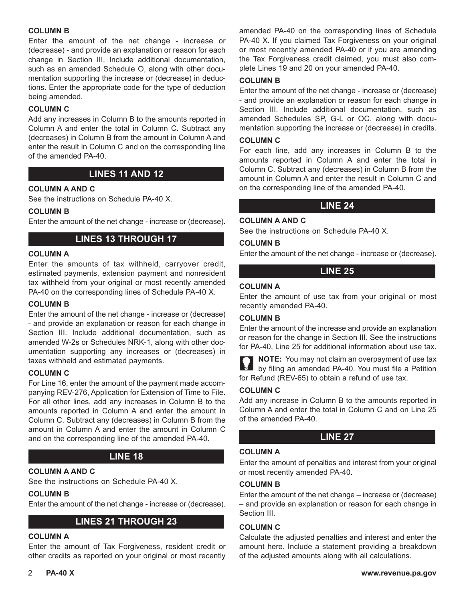#### **COLUMN B**

Enter the amount of the net change - increase or (decrease) - and provide an explanation or reason for each change in Section III. Include additional documentation, such as an amended Schedule O, along with other documentation supporting the increase or (decrease) in deductions. Enter the appropriate code for the type of deduction being amended.

#### **COLUMN C**

Add any increases in Column B to the amounts reported in Column A and enter the total in Column C. Subtract any (decreases) in Column B from the amount in Column A and enter the result in Column C and on the corresponding line of the amended PA-40.

## **LINES 11 AND 12**

#### **COLUMN A AND C**

See the instructions on Schedule PA-40 X.

#### **COLUMN B**

Enter the amount of the net change - increase or (decrease).

## **LINES 13 THROUGH 17**

#### **COLUMN A**

Enter the amounts of tax withheld, carryover credit, estimated payments, extension payment and nonresident tax withheld from your original or most recently amended PA-40 on the corresponding lines of Schedule PA-40 X.

#### **COLUMN B**

Enter the amount of the net change - increase or (decrease) - and provide an explanation or reason for each change in Section III. Include additional documentation, such as amended W-2s or Schedules NRK-1, along with other documentation supporting any increases or (decreases) in taxes withheld and estimated payments.

#### **COLUMN C**

For Line 16, enter the amount of the payment made accompanying REV-276, Application for Extension of Time to File. For all other lines, add any increases in Column B to the amounts reported in Column A and enter the amount in Column C. Subtract any (decreases) in Column B from the amount in Column A and enter the amount in Column C and on the corresponding line of the amended PA-40.

## **LINE 18**

#### **COLUMN A AND C**

See the instructions on Schedule PA-40 X.

#### **COLUMN B**

Enter the amount of the net change - increase or (decrease).

#### **LINES 21 THROUGH 23**

#### **COLUMN A**

Enter the amount of Tax Forgiveness, resident credit or other credits as reported on your original or most recently

amended PA-40 on the corresponding lines of Schedule PA-40 X. If you claimed Tax Forgiveness on your original or most recently amended PA-40 or if you are amending the Tax Forgiveness credit claimed, you must also complete Lines 19 and 20 on your amended PA-40.

#### **COLUMN B**

Enter the amount of the net change - increase or (decrease) - and provide an explanation or reason for each change in Section III. Include additional documentation, such as amended Schedules SP, G-L or OC, along with documentation supporting the increase or (decrease) in credits.

#### **COLUMN C**

For each line, add any increases in Column B to the amounts reported in Column A and enter the total in Column C. Subtract any (decreases) in Column B from the amount in Column A and enter the result in Column C and on the corresponding line of the amended PA-40.

#### **LINE 24**

#### See the instructions on Schedule PA-40 X.

#### **COLUMN B**

**COLUMN A AND C**

Enter the amount of the net change - increase or (decrease).

#### **LINE 25**

#### **COLUMN A**

Enter the amount of use tax from your original or most recently amended PA-40.

#### **COLUMN B**

Enter the amount of the increase and provide an explanation or reason for the change in Section III. See the instructions for PA-40, Line 25 for additional information about use tax.



**NOTE:** You may not claim an overpayment of use tax by filing an amended PA-40. You must file a Petition for Refund (REV-65) to obtain a refund of use tax.

#### **COLUMN C**

Add any increase in Column B to the amounts reported in Column A and enter the total in Column C and on Line 25 of the amended PA-40.

#### **LINE 27**

#### **COLUMN A**

Enter the amount of penalties and interest from your original or most recently amended PA-40.

#### **COLUMN B**

Enter the amount of the net change – increase or (decrease) – and provide an explanation or reason for each change in Section III.

#### **COLUMN C**

Calculate the adjusted penalties and interest and enter the amount here. Include a statement providing a breakdown of the adjusted amounts along with all calculations.